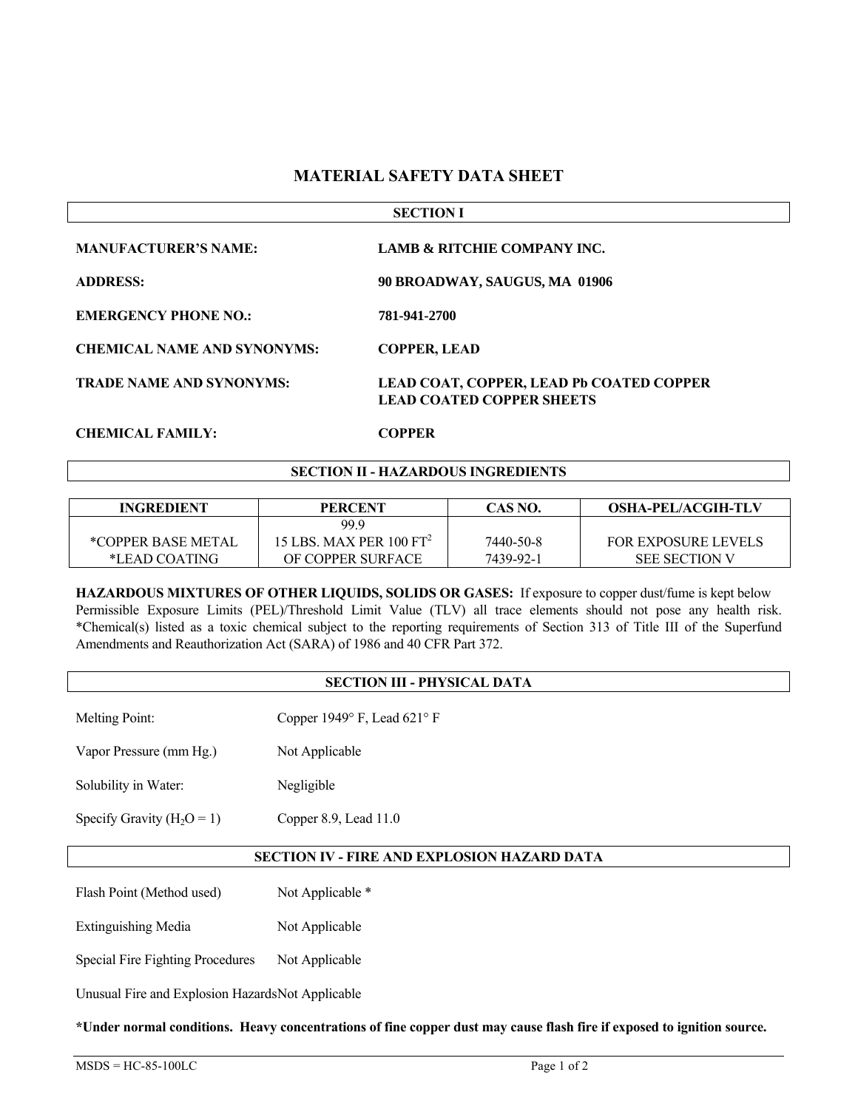## **MATERIAL SAFETY DATA SHEET**

| <b>SECTION I</b>                   |                                                                                     |  |
|------------------------------------|-------------------------------------------------------------------------------------|--|
| <b>MANUFACTURER'S NAME:</b>        | <b>LAMB &amp; RITCHIE COMPANY INC.</b>                                              |  |
| <b>ADDRESS:</b>                    | 90 BROADWAY, SAUGUS, MA 01906                                                       |  |
| <b>EMERGENCY PHONE NO.:</b>        | 781-941-2700                                                                        |  |
| <b>CHEMICAL NAME AND SYNONYMS:</b> | <b>COPPER, LEAD</b>                                                                 |  |
| <b>TRADE NAME AND SYNONYMS:</b>    | <b>LEAD COAT, COPPER, LEAD Pb COATED COPPER</b><br><b>LEAD COATED COPPER SHEETS</b> |  |
| <b>CHEMICAL FAMILY:</b>            | <b>COPPER</b>                                                                       |  |

### **SECTION II - HAZARDOUS INGREDIENTS**

| <b>INGREDIENT</b>  | <b>PERCENT</b>                      | CAS NO.   | <b>OSHA-PEL/ACGIH-TLV</b>  |
|--------------------|-------------------------------------|-----------|----------------------------|
|                    | 99.9                                |           |                            |
| *COPPER BASE METAL | 15 LBS. MAX PER 100 FT <sup>2</sup> | 7440-50-8 | <b>FOR EXPOSURE LEVELS</b> |
| *LEAD COATING      | OF COPPER SURFACE                   | 7439-92-1 | <b>SEE SECTION V</b>       |

**HAZARDOUS MIXTURES OF OTHER LIQUIDS, SOLIDS OR GASES:** If exposure to copper dust/fume is kept below Permissible Exposure Limits (PEL)/Threshold Limit Value (TLV) all trace elements should not pose any health risk. \*Chemical(s) listed as a toxic chemical subject to the reporting requirements of Section 313 of Title III of the Superfund Amendments and Reauthorization Act (SARA) of 1986 and 40 CFR Part 372.

### **SECTION III - PHYSICAL DATA**

Melting Point: Copper 1949° F, Lead 621° F

Vapor Pressure (mm Hg.) Not Applicable

Solubility in Water: Negligible

Specify Gravity  $(H_2O = 1)$  Copper 8.9, Lead 11.0

## **SECTION IV - FIRE AND EXPLOSION HAZARD DATA**

Flash Point (Method used) Not Applicable \*

Extinguishing Media Not Applicable

Special Fire Fighting Procedures Not Applicable

Unusual Fire and Explosion Hazards Not Applicable

**\*Under normal conditions. Heavy concentrations of fine copper dust may cause flash fire if exposed to ignition source.**